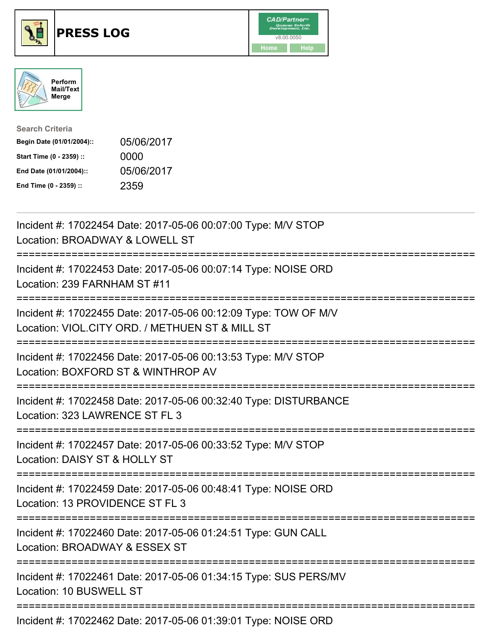





| <b>Search Criteria</b>    |            |
|---------------------------|------------|
| Begin Date (01/01/2004):: | 05/06/2017 |
| Start Time (0 - 2359) ::  | 0000       |
| End Date (01/01/2004)::   | 05/06/2017 |
| End Time (0 - 2359) ::    | 2359       |

| Incident #: 17022454 Date: 2017-05-06 00:07:00 Type: M/V STOP<br>Location: BROADWAY & LOWELL ST                             |
|-----------------------------------------------------------------------------------------------------------------------------|
| Incident #: 17022453 Date: 2017-05-06 00:07:14 Type: NOISE ORD<br>Location: 239 FARNHAM ST #11                              |
| Incident #: 17022455 Date: 2017-05-06 00:12:09 Type: TOW OF M/V<br>Location: VIOL.CITY ORD. / METHUEN ST & MILL ST          |
| Incident #: 17022456 Date: 2017-05-06 00:13:53 Type: M/V STOP<br>Location: BOXFORD ST & WINTHROP AV                         |
| Incident #: 17022458 Date: 2017-05-06 00:32:40 Type: DISTURBANCE<br>Location: 323 LAWRENCE ST FL 3                          |
| Incident #: 17022457 Date: 2017-05-06 00:33:52 Type: M/V STOP<br>Location: DAISY ST & HOLLY ST<br>=======================   |
| Incident #: 17022459 Date: 2017-05-06 00:48:41 Type: NOISE ORD<br>Location: 13 PROVIDENCE ST FL 3                           |
| =========================<br>Incident #: 17022460 Date: 2017-05-06 01:24:51 Type: GUN CALL<br>Location: BROADWAY & ESSEX ST |
| ========================<br>Incident #: 17022461 Date: 2017-05-06 01:34:15 Type: SUS PERS/MV<br>Location: 10 BUSWELL ST     |
| Incident #: 17022462 Date: 2017-05-06 01:39:01 Type: NOISE ORD                                                              |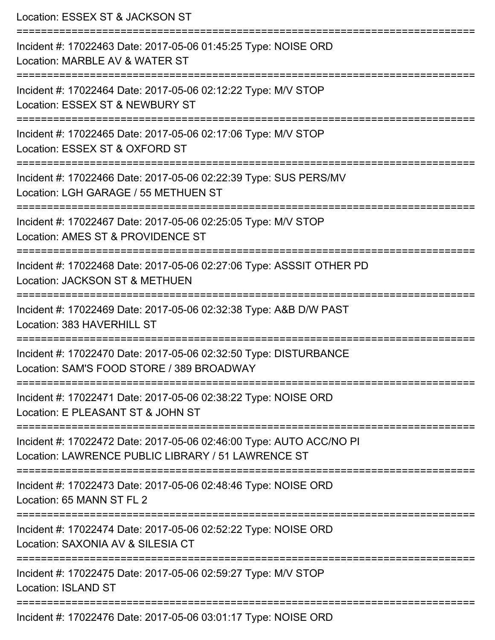| Location: ESSEX ST & JACKSON ST                                                                                                |
|--------------------------------------------------------------------------------------------------------------------------------|
| Incident #: 17022463 Date: 2017-05-06 01:45:25 Type: NOISE ORD<br>Location: MARBLE AV & WATER ST<br>:========================= |
| Incident #: 17022464 Date: 2017-05-06 02:12:22 Type: M/V STOP<br>Location: ESSEX ST & NEWBURY ST                               |
| Incident #: 17022465 Date: 2017-05-06 02:17:06 Type: M/V STOP<br>Location: ESSEX ST & OXFORD ST                                |
| Incident #: 17022466 Date: 2017-05-06 02:22:39 Type: SUS PERS/MV<br>Location: LGH GARAGE / 55 METHUEN ST                       |
| Incident #: 17022467 Date: 2017-05-06 02:25:05 Type: M/V STOP<br>Location: AMES ST & PROVIDENCE ST                             |
| Incident #: 17022468 Date: 2017-05-06 02:27:06 Type: ASSSIT OTHER PD<br>Location: JACKSON ST & METHUEN                         |
| Incident #: 17022469 Date: 2017-05-06 02:32:38 Type: A&B D/W PAST<br>Location: 383 HAVERHILL ST                                |
| Incident #: 17022470 Date: 2017-05-06 02:32:50 Type: DISTURBANCE<br>Location: SAM'S FOOD STORE / 389 BROADWAY                  |
| Incident #: 17022471 Date: 2017-05-06 02:38:22 Type: NOISE ORD<br>Location: E PLEASANT ST & JOHN ST                            |
| Incident #: 17022472 Date: 2017-05-06 02:46:00 Type: AUTO ACC/NO PI<br>Location: LAWRENCE PUBLIC LIBRARY / 51 LAWRENCE ST      |
| Incident #: 17022473 Date: 2017-05-06 02:48:46 Type: NOISE ORD<br>Location: 65 MANN ST FL 2                                    |
| Incident #: 17022474 Date: 2017-05-06 02:52:22 Type: NOISE ORD<br>Location: SAXONIA AV & SILESIA CT                            |
| Incident #: 17022475 Date: 2017-05-06 02:59:27 Type: M/V STOP<br><b>Location: ISLAND ST</b>                                    |
| -----------<br>Incident #: 17022476 Date: 2017-05-06 03:01:17 Type: NOISE ORD                                                  |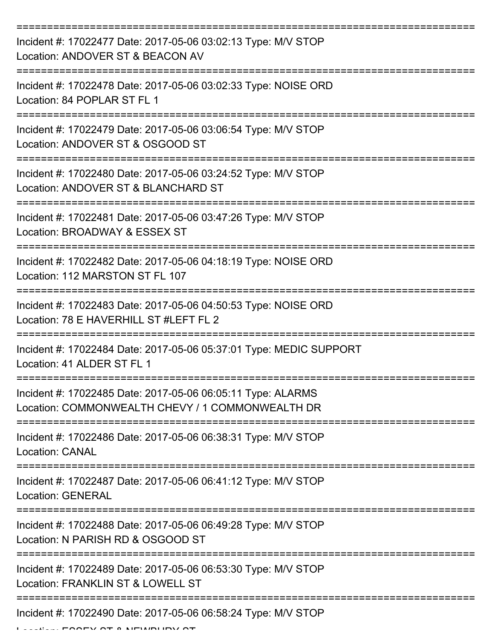| Incident #: 17022477 Date: 2017-05-06 03:02:13 Type: M/V STOP<br>Location: ANDOVER ST & BEACON AV               |
|-----------------------------------------------------------------------------------------------------------------|
| Incident #: 17022478 Date: 2017-05-06 03:02:33 Type: NOISE ORD<br>Location: 84 POPLAR ST FL 1                   |
| Incident #: 17022479 Date: 2017-05-06 03:06:54 Type: M/V STOP<br>Location: ANDOVER ST & OSGOOD ST               |
| Incident #: 17022480 Date: 2017-05-06 03:24:52 Type: M/V STOP<br>Location: ANDOVER ST & BLANCHARD ST            |
| Incident #: 17022481 Date: 2017-05-06 03:47:26 Type: M/V STOP<br>Location: BROADWAY & ESSEX ST                  |
| Incident #: 17022482 Date: 2017-05-06 04:18:19 Type: NOISE ORD<br>Location: 112 MARSTON ST FL 107               |
| Incident #: 17022483 Date: 2017-05-06 04:50:53 Type: NOISE ORD<br>Location: 78 E HAVERHILL ST #LEFT FL 2        |
| Incident #: 17022484 Date: 2017-05-06 05:37:01 Type: MEDIC SUPPORT<br>Location: 41 ALDER ST FL 1                |
| Incident #: 17022485 Date: 2017-05-06 06:05:11 Type: ALARMS<br>Location: COMMONWEALTH CHEVY / 1 COMMONWEALTH DR |
| Incident #: 17022486 Date: 2017-05-06 06:38:31 Type: M/V STOP<br><b>Location: CANAL</b>                         |
| Incident #: 17022487 Date: 2017-05-06 06:41:12 Type: M/V STOP<br><b>Location: GENERAL</b>                       |
| Incident #: 17022488 Date: 2017-05-06 06:49:28 Type: M/V STOP<br>Location: N PARISH RD & OSGOOD ST              |
| Incident #: 17022489 Date: 2017-05-06 06:53:30 Type: M/V STOP<br>Location: FRANKLIN ST & LOWELL ST              |
| Incident #: 17022490 Date: 2017-05-06 06:58:24 Type: M/V STOP                                                   |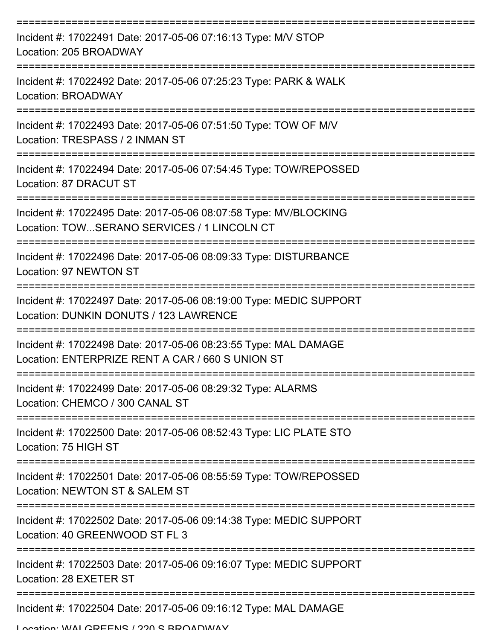| Incident #: 17022491 Date: 2017-05-06 07:16:13 Type: M/V STOP<br>Location: 205 BROADWAY                             |
|---------------------------------------------------------------------------------------------------------------------|
| Incident #: 17022492 Date: 2017-05-06 07:25:23 Type: PARK & WALK<br>Location: BROADWAY<br>----------                |
| Incident #: 17022493 Date: 2017-05-06 07:51:50 Type: TOW OF M/V<br>Location: TRESPASS / 2 INMAN ST                  |
| Incident #: 17022494 Date: 2017-05-06 07:54:45 Type: TOW/REPOSSED<br>Location: 87 DRACUT ST                         |
| Incident #: 17022495 Date: 2017-05-06 08:07:58 Type: MV/BLOCKING<br>Location: TOWSERANO SERVICES / 1 LINCOLN CT     |
| Incident #: 17022496 Date: 2017-05-06 08:09:33 Type: DISTURBANCE<br>Location: 97 NEWTON ST                          |
| Incident #: 17022497 Date: 2017-05-06 08:19:00 Type: MEDIC SUPPORT<br>Location: DUNKIN DONUTS / 123 LAWRENCE        |
| Incident #: 17022498 Date: 2017-05-06 08:23:55 Type: MAL DAMAGE<br>Location: ENTERPRIZE RENT A CAR / 660 S UNION ST |
| Incident #: 17022499 Date: 2017-05-06 08:29:32 Type: ALARMS<br>Location: CHEMCO / 300 CANAL ST                      |
| Incident #: 17022500 Date: 2017-05-06 08:52:43 Type: LIC PLATE STO<br>Location: 75 HIGH ST                          |
| Incident #: 17022501 Date: 2017-05-06 08:55:59 Type: TOW/REPOSSED<br>Location: NEWTON ST & SALEM ST                 |
| Incident #: 17022502 Date: 2017-05-06 09:14:38 Type: MEDIC SUPPORT<br>Location: 40 GREENWOOD ST FL 3                |
| Incident #: 17022503 Date: 2017-05-06 09:16:07 Type: MEDIC SUPPORT<br>Location: 28 EXETER ST                        |
| Incident #: 17022504 Date: 2017-05-06 09:16:12 Type: MAL DAMAGE                                                     |

Location: WALCDEENIC / 220 S BBOADWAY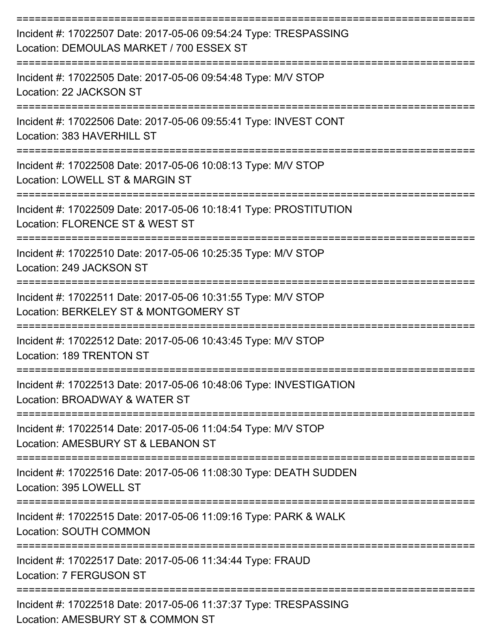| Incident #: 17022507 Date: 2017-05-06 09:54:24 Type: TRESPASSING<br>Location: DEMOULAS MARKET / 700 ESSEX ST |
|--------------------------------------------------------------------------------------------------------------|
| Incident #: 17022505 Date: 2017-05-06 09:54:48 Type: M/V STOP<br>Location: 22 JACKSON ST                     |
| Incident #: 17022506 Date: 2017-05-06 09:55:41 Type: INVEST CONT<br>Location: 383 HAVERHILL ST               |
| Incident #: 17022508 Date: 2017-05-06 10:08:13 Type: M/V STOP<br>Location: LOWELL ST & MARGIN ST             |
| Incident #: 17022509 Date: 2017-05-06 10:18:41 Type: PROSTITUTION<br>Location: FLORENCE ST & WEST ST         |
| Incident #: 17022510 Date: 2017-05-06 10:25:35 Type: M/V STOP<br>Location: 249 JACKSON ST                    |
| Incident #: 17022511 Date: 2017-05-06 10:31:55 Type: M/V STOP<br>Location: BERKELEY ST & MONTGOMERY ST       |
| Incident #: 17022512 Date: 2017-05-06 10:43:45 Type: M/V STOP<br>Location: 189 TRENTON ST                    |
| Incident #: 17022513 Date: 2017-05-06 10:48:06 Type: INVESTIGATION<br>Location: BROADWAY & WATER ST          |
| Incident #: 17022514 Date: 2017-05-06 11:04:54 Type: M/V STOP<br>Location: AMESBURY ST & LEBANON ST          |
| Incident #: 17022516 Date: 2017-05-06 11:08:30 Type: DEATH SUDDEN<br>Location: 395 LOWELL ST                 |
| Incident #: 17022515 Date: 2017-05-06 11:09:16 Type: PARK & WALK<br><b>Location: SOUTH COMMON</b>            |
| Incident #: 17022517 Date: 2017-05-06 11:34:44 Type: FRAUD<br><b>Location: 7 FERGUSON ST</b>                 |
| Incident #: 17022518 Date: 2017-05-06 11:37:37 Type: TRESPASSING<br>Location: AMESBURY ST & COMMON ST        |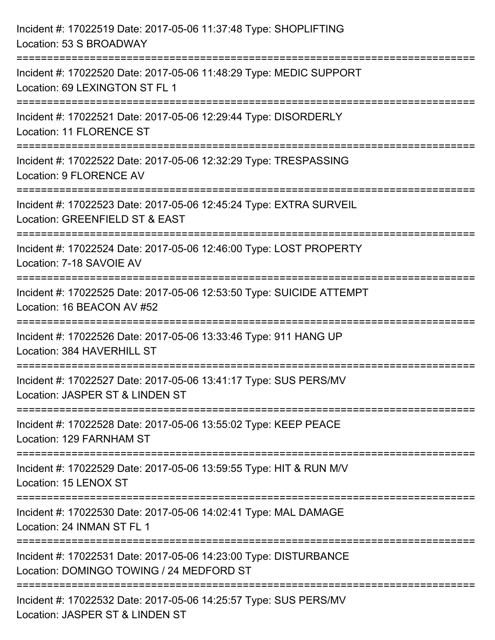| Incident #: 17022519 Date: 2017-05-06 11:37:48 Type: SHOPLIFTING<br>Location: 53 S BROADWAY                                      |
|----------------------------------------------------------------------------------------------------------------------------------|
| Incident #: 17022520 Date: 2017-05-06 11:48:29 Type: MEDIC SUPPORT<br>Location: 69 LEXINGTON ST FL 1                             |
| Incident #: 17022521 Date: 2017-05-06 12:29:44 Type: DISORDERLY<br>Location: 11 FLORENCE ST                                      |
| Incident #: 17022522 Date: 2017-05-06 12:32:29 Type: TRESPASSING<br>Location: 9 FLORENCE AV<br>-----------------                 |
| Incident #: 17022523 Date: 2017-05-06 12:45:24 Type: EXTRA SURVEIL<br>Location: GREENFIELD ST & EAST                             |
| Incident #: 17022524 Date: 2017-05-06 12:46:00 Type: LOST PROPERTY<br>Location: 7-18 SAVOIE AV                                   |
| Incident #: 17022525 Date: 2017-05-06 12:53:50 Type: SUICIDE ATTEMPT<br>Location: 16 BEACON AV #52                               |
| Incident #: 17022526 Date: 2017-05-06 13:33:46 Type: 911 HANG UP<br>Location: 384 HAVERHILL ST                                   |
| Incident #: 17022527 Date: 2017-05-06 13:41:17 Type: SUS PERS/MV<br>Location: JASPER ST & LINDEN ST                              |
| Incident #: 17022528 Date: 2017-05-06 13:55:02 Type: KEEP PEACE<br>Location: 129 FARNHAM ST                                      |
| Incident #: 17022529 Date: 2017-05-06 13:59:55 Type: HIT & RUN M/V<br>Location: 15 LENOX ST                                      |
| Incident #: 17022530 Date: 2017-05-06 14:02:41 Type: MAL DAMAGE<br>Location: 24 INMAN ST FL 1                                    |
| Incident #: 17022531 Date: 2017-05-06 14:23:00 Type: DISTURBANCE<br>Location: DOMINGO TOWING / 24 MEDFORD ST                     |
| :========================<br>Incident #: 17022532 Date: 2017-05-06 14:25:57 Type: SUS PERS/MV<br>Location: JASPER ST & LINDEN ST |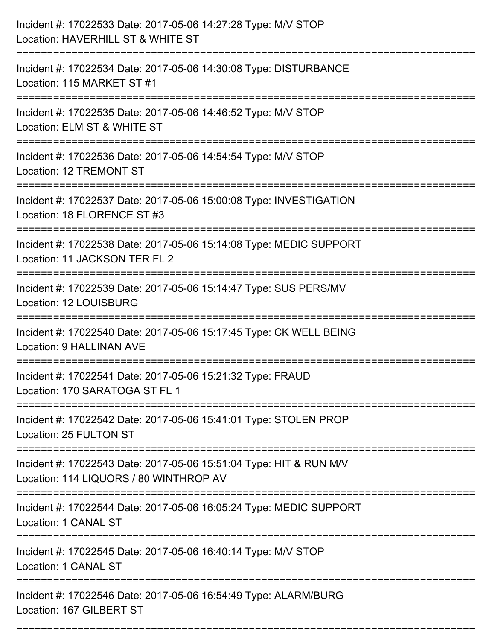| Incident #: 17022533 Date: 2017-05-06 14:27:28 Type: M/V STOP<br>Location: HAVERHILL ST & WHITE ST                                    |
|---------------------------------------------------------------------------------------------------------------------------------------|
| ----------------------<br>Incident #: 17022534 Date: 2017-05-06 14:30:08 Type: DISTURBANCE<br>Location: 115 MARKET ST #1              |
| Incident #: 17022535 Date: 2017-05-06 14:46:52 Type: M/V STOP<br>Location: ELM ST & WHITE ST<br>:======================               |
| Incident #: 17022536 Date: 2017-05-06 14:54:54 Type: M/V STOP<br>Location: 12 TREMONT ST                                              |
| Incident #: 17022537 Date: 2017-05-06 15:00:08 Type: INVESTIGATION<br>Location: 18 FLORENCE ST #3                                     |
| Incident #: 17022538 Date: 2017-05-06 15:14:08 Type: MEDIC SUPPORT<br>Location: 11 JACKSON TER FL 2                                   |
| Incident #: 17022539 Date: 2017-05-06 15:14:47 Type: SUS PERS/MV<br>Location: 12 LOUISBURG                                            |
| Incident #: 17022540 Date: 2017-05-06 15:17:45 Type: CK WELL BEING<br><b>Location: 9 HALLINAN AVE</b>                                 |
| Incident #: 17022541 Date: 2017-05-06 15:21:32 Type: FRAUD<br>Location: 170 SARATOGA ST FL 1                                          |
| Incident #: 17022542 Date: 2017-05-06 15:41:01 Type: STOLEN PROP<br>Location: 25 FULTON ST                                            |
| =====================<br>Incident #: 17022543 Date: 2017-05-06 15:51:04 Type: HIT & RUN M/V<br>Location: 114 LIQUORS / 80 WINTHROP AV |
| Incident #: 17022544 Date: 2017-05-06 16:05:24 Type: MEDIC SUPPORT<br>Location: 1 CANAL ST                                            |
| Incident #: 17022545 Date: 2017-05-06 16:40:14 Type: M/V STOP<br>Location: 1 CANAL ST                                                 |
| Incident #: 17022546 Date: 2017-05-06 16:54:49 Type: ALARM/BURG<br>Location: 167 GILBERT ST                                           |

===========================================================================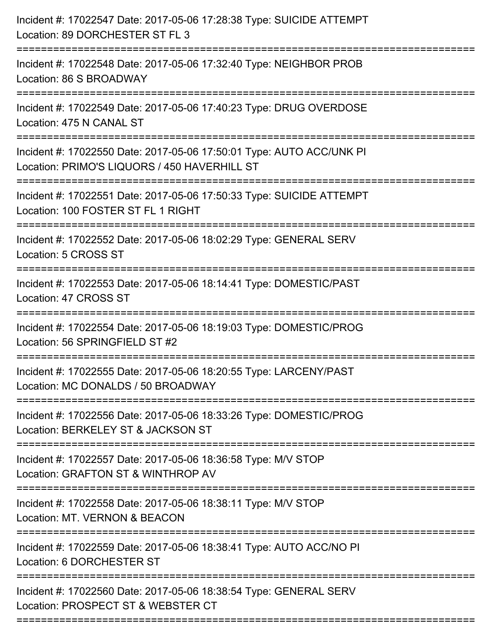| Incident #: 17022547 Date: 2017-05-06 17:28:38 Type: SUICIDE ATTEMPT<br>Location: 89 DORCHESTER ST FL 3              |
|----------------------------------------------------------------------------------------------------------------------|
| Incident #: 17022548 Date: 2017-05-06 17:32:40 Type: NEIGHBOR PROB<br>Location: 86 S BROADWAY                        |
| Incident #: 17022549 Date: 2017-05-06 17:40:23 Type: DRUG OVERDOSE<br>Location: 475 N CANAL ST                       |
| Incident #: 17022550 Date: 2017-05-06 17:50:01 Type: AUTO ACC/UNK PI<br>Location: PRIMO'S LIQUORS / 450 HAVERHILL ST |
| Incident #: 17022551 Date: 2017-05-06 17:50:33 Type: SUICIDE ATTEMPT<br>Location: 100 FOSTER ST FL 1 RIGHT           |
| Incident #: 17022552 Date: 2017-05-06 18:02:29 Type: GENERAL SERV<br>Location: 5 CROSS ST                            |
| Incident #: 17022553 Date: 2017-05-06 18:14:41 Type: DOMESTIC/PAST<br>Location: 47 CROSS ST                          |
| Incident #: 17022554 Date: 2017-05-06 18:19:03 Type: DOMESTIC/PROG<br>Location: 56 SPRINGFIELD ST #2                 |
| Incident #: 17022555 Date: 2017-05-06 18:20:55 Type: LARCENY/PAST<br>Location: MC DONALDS / 50 BROADWAY              |
| Incident #: 17022556 Date: 2017-05-06 18:33:26 Type: DOMESTIC/PROG<br>Location: BERKELEY ST & JACKSON ST             |
| Incident #: 17022557 Date: 2017-05-06 18:36:58 Type: M/V STOP<br>Location: GRAFTON ST & WINTHROP AV                  |
| Incident #: 17022558 Date: 2017-05-06 18:38:11 Type: M/V STOP<br>Location: MT. VERNON & BEACON                       |
| Incident #: 17022559 Date: 2017-05-06 18:38:41 Type: AUTO ACC/NO PI<br>Location: 6 DORCHESTER ST                     |
| Incident #: 17022560 Date: 2017-05-06 18:38:54 Type: GENERAL SERV<br>Location: PROSPECT ST & WEBSTER CT              |
|                                                                                                                      |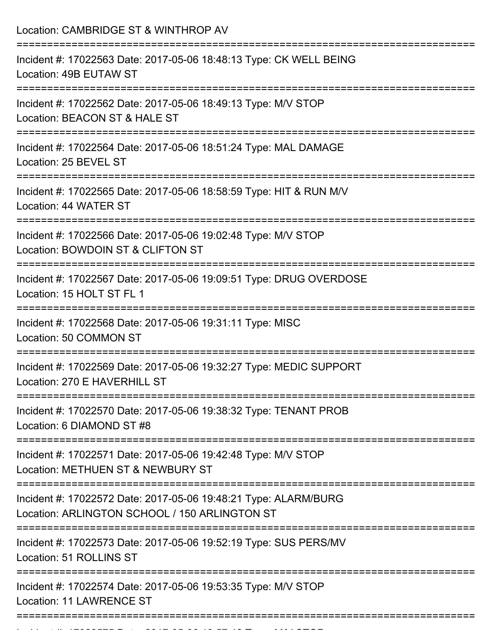| Incident #: 17022563 Date: 2017-05-06 18:48:13 Type: CK WELL BEING                                                                          |
|---------------------------------------------------------------------------------------------------------------------------------------------|
| Location: 49B EUTAW ST                                                                                                                      |
| Incident #: 17022562 Date: 2017-05-06 18:49:13 Type: M/V STOP<br>Location: BEACON ST & HALE ST                                              |
| Incident #: 17022564 Date: 2017-05-06 18:51:24 Type: MAL DAMAGE<br>Location: 25 BEVEL ST                                                    |
| Incident #: 17022565 Date: 2017-05-06 18:58:59 Type: HIT & RUN M/V<br>Location: 44 WATER ST                                                 |
| Incident #: 17022566 Date: 2017-05-06 19:02:48 Type: M/V STOP<br>Location: BOWDOIN ST & CLIFTON ST                                          |
| Incident #: 17022567 Date: 2017-05-06 19:09:51 Type: DRUG OVERDOSE<br>Location: 15 HOLT ST FL 1                                             |
| Incident #: 17022568 Date: 2017-05-06 19:31:11 Type: MISC<br>Location: 50 COMMON ST                                                         |
| Incident #: 17022569 Date: 2017-05-06 19:32:27 Type: MEDIC SUPPORT<br>Location: 270 E HAVERHILL ST<br>------------------------------------- |
| Incident #: 17022570 Date: 2017-05-06 19:38:32 Type: TENANT PROB<br>Location: 6 DIAMOND ST #8<br>===================                        |
| Incident #: 17022571 Date: 2017-05-06 19:42:48 Type: M/V STOP<br>Location: METHUEN ST & NEWBURY ST                                          |
| Incident #: 17022572 Date: 2017-05-06 19:48:21 Type: ALARM/BURG<br>Location: ARLINGTON SCHOOL / 150 ARLINGTON ST                            |
| Incident #: 17022573 Date: 2017-05-06 19:52:19 Type: SUS PERS/MV<br>Location: 51 ROLLINS ST                                                 |
| Incident #: 17022574 Date: 2017-05-06 19:53:35 Type: M/V STOP<br><b>Location: 11 LAWRENCE ST</b>                                            |

Incident #: 17022575 Date: 2017 05 06 19:57:42 Type: M/V STOP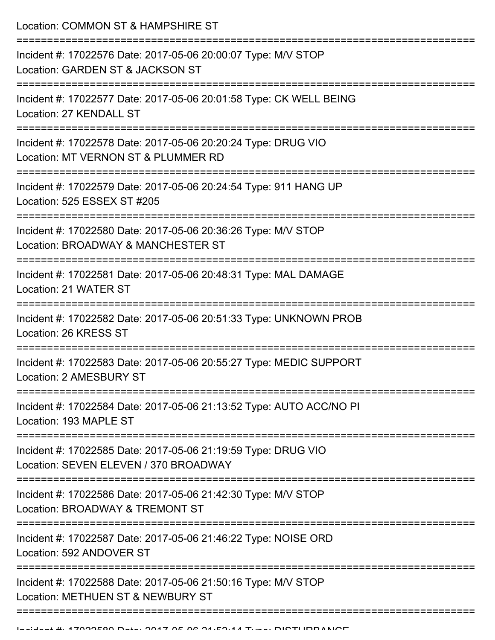Location: COMMON ST & HAMPSHIRE ST

| Incident #: 17022576 Date: 2017-05-06 20:00:07 Type: M/V STOP<br>Location: GARDEN ST & JACKSON ST      |
|--------------------------------------------------------------------------------------------------------|
| Incident #: 17022577 Date: 2017-05-06 20:01:58 Type: CK WELL BEING<br>Location: 27 KENDALL ST          |
| Incident #: 17022578 Date: 2017-05-06 20:20:24 Type: DRUG VIO<br>Location: MT VERNON ST & PLUMMER RD   |
| Incident #: 17022579 Date: 2017-05-06 20:24:54 Type: 911 HANG UP<br>Location: 525 ESSEX ST #205        |
| Incident #: 17022580 Date: 2017-05-06 20:36:26 Type: M/V STOP<br>Location: BROADWAY & MANCHESTER ST    |
| Incident #: 17022581 Date: 2017-05-06 20:48:31 Type: MAL DAMAGE<br>Location: 21 WATER ST               |
| Incident #: 17022582 Date: 2017-05-06 20:51:33 Type: UNKNOWN PROB<br>Location: 26 KRESS ST             |
| Incident #: 17022583 Date: 2017-05-06 20:55:27 Type: MEDIC SUPPORT<br>Location: 2 AMESBURY ST          |
| Incident #: 17022584 Date: 2017-05-06 21:13:52 Type: AUTO ACC/NO PI<br>Location: 193 MAPLE ST          |
| Incident #: 17022585 Date: 2017-05-06 21:19:59 Type: DRUG VIO<br>Location: SEVEN ELEVEN / 370 BROADWAY |
| Incident #: 17022586 Date: 2017-05-06 21:42:30 Type: M/V STOP<br>Location: BROADWAY & TREMONT ST       |
| Incident #: 17022587 Date: 2017-05-06 21:46:22 Type: NOISE ORD<br>Location: 592 ANDOVER ST             |
| Incident #: 17022588 Date: 2017-05-06 21:50:16 Type: M/V STOP<br>Location: METHUEN ST & NEWBURY ST     |
|                                                                                                        |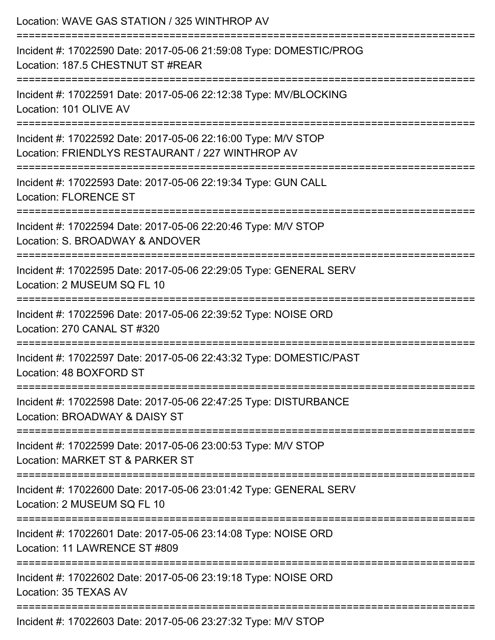| Location: WAVE GAS STATION / 325 WINTHROP AV                                                                               |
|----------------------------------------------------------------------------------------------------------------------------|
| Incident #: 17022590 Date: 2017-05-06 21:59:08 Type: DOMESTIC/PROG<br>Location: 187.5 CHESTNUT ST #REAR                    |
| Incident #: 17022591 Date: 2017-05-06 22:12:38 Type: MV/BLOCKING<br>Location: 101 OLIVE AV                                 |
| Incident #: 17022592 Date: 2017-05-06 22:16:00 Type: M/V STOP<br>Location: FRIENDLYS RESTAURANT / 227 WINTHROP AV          |
| Incident #: 17022593 Date: 2017-05-06 22:19:34 Type: GUN CALL<br><b>Location: FLORENCE ST</b>                              |
| Incident #: 17022594 Date: 2017-05-06 22:20:46 Type: M/V STOP<br>Location: S. BROADWAY & ANDOVER                           |
| :=====================<br>Incident #: 17022595 Date: 2017-05-06 22:29:05 Type: GENERAL SERV<br>Location: 2 MUSEUM SQ FL 10 |
| Incident #: 17022596 Date: 2017-05-06 22:39:52 Type: NOISE ORD<br>Location: 270 CANAL ST #320                              |
| Incident #: 17022597 Date: 2017-05-06 22:43:32 Type: DOMESTIC/PAST<br>Location: 48 BOXFORD ST                              |
| Incident #: 17022598 Date: 2017-05-06 22:47:25 Type: DISTURBANCE<br>Location: BROADWAY & DAISY ST                          |
| Incident #: 17022599 Date: 2017-05-06 23:00:53 Type: M/V STOP<br>Location: MARKET ST & PARKER ST                           |
| Incident #: 17022600 Date: 2017-05-06 23:01:42 Type: GENERAL SERV<br>Location: 2 MUSEUM SQ FL 10                           |
| Incident #: 17022601 Date: 2017-05-06 23:14:08 Type: NOISE ORD<br>Location: 11 LAWRENCE ST #809                            |
| Incident #: 17022602 Date: 2017-05-06 23:19:18 Type: NOISE ORD<br>Location: 35 TEXAS AV                                    |
| Incident #: 17022603 Date: 2017 05 06 23:27:32 Type: MAI STOD                                                              |

Incident #: 17022603 Date: 2017-05-06 23:27:32 Type: M/V STOP